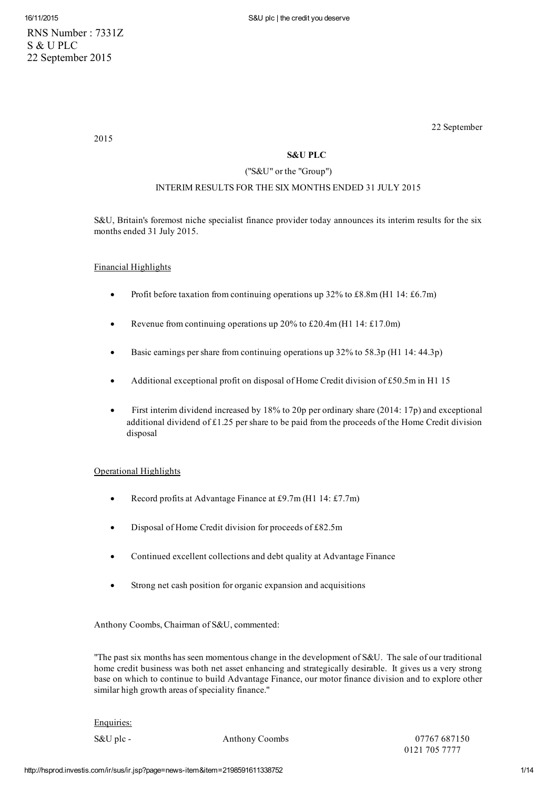RNS Number : 7331Z S & U PLC 22 September 2015

2015

22 September

# S&U PLC

# ("S&U" or the "Group")

# INTERIM RESULTS FOR THE SIX MONTHS ENDED 31 JULY 2015

S&U, Britain's foremost niche specialist finance provider today announces its interim results for the six months ended 31 July 2015.

# Financial Highlights

- Profit before taxation from continuing operations up 32% to £8.8m (H1 14: £6.7m)
- Revenue from continuing operations up 20% to £20.4m (H1 14: £17.0m)
- Basic earnings pershare from continuing operations up 32% to 58.3p (H1 14: 44.3p)
- Additional exceptional profit on disposal of Home Credit division of £50.5m in H1 15
- First interim dividend increased by 18% to 20p per ordinary share (2014: 17p) and exceptional additional dividend of £1.25 per share to be paid from the proceeds of the Home Credit division disposal

# Operational Highlights

- Record profits at Advantage Finance at £9.7m (H1 14: £7.7m)
- Disposal of Home Credit division for proceeds of £82.5m
- Continued excellent collections and debt quality at Advantage Finance
- Strong net cash position for organic expansion and acquisitions

Anthony Coombs, Chairman of S&U, commented:

"The past six months has seen momentous change in the development of S&U. The sale of our traditional home credit business was both net asset enhancing and strategically desirable. It gives us a very strong base on which to continue to build Advantage Finance, our motor finance division and to explore other similar high growth areas of speciality finance."

### Enquiries:

S&U plc - Anthony Coombs 07767 687150 0121 705 7777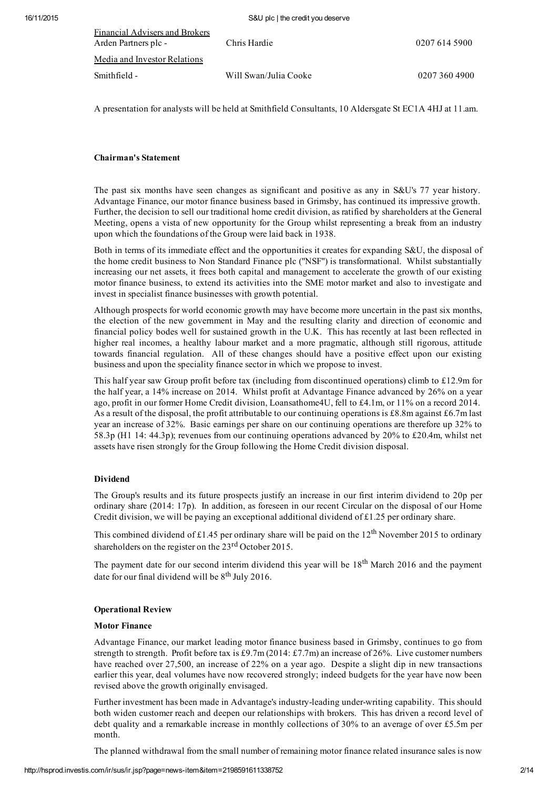| Financial Advisers and Brokers<br>Arden Partners plc - | Chris Hardie          | 0207 614 5900 |
|--------------------------------------------------------|-----------------------|---------------|
| Media and Investor Relations                           |                       |               |
| Smithfield -                                           | Will Swan/Julia Cooke | 0207 360 4900 |
|                                                        |                       |               |

A presentation for analysts will be held at Smithfield Consultants, 10 Aldersgate St EC1A 4HJ at 11.am.

## Chairman's Statement

The past six months have seen changes as significant and positive as any in S&U's 77 year history. Advantage Finance, our motor finance business based in Grimsby, has continued its impressive growth. Further, the decision to sell our traditional home credit division, as ratified by shareholders at the General Meeting, opens a vista of new opportunity for the Group whilst representing a break from an industry upon which the foundations of the Group were laid back in 1938.

Both in terms of its immediate effect and the opportunities it creates for expanding S&U, the disposal of the home credit business to Non Standard Finance plc ("NSF") is transformational. Whilst substantially increasing our net assets, it frees both capital and management to accelerate the growth of our existing motor finance business, to extend its activities into the SME motor market and also to investigate and invest in specialist finance businesses with growth potential.

Although prospects for world economic growth may have become more uncertain in the past six months, the election of the new government in May and the resulting clarity and direction of economic and financial policy bodes well for sustained growth in the U.K. This has recently at last been reflected in higher real incomes, a healthy labour market and a more pragmatic, although still rigorous, attitude towards financial regulation. All of these changes should have a positive effect upon our existing business and upon the speciality finance sector in which we propose to invest.

This half year saw Group profit before tax (including from discontinued operations) climb to £12.9m for the half year, a 14% increase on 2014. Whilst profit at Advantage Finance advanced by 26% on a year ago, profit in our former Home Credit division, Loansathome4U, fell to £4.1m, or 11% on a record 2014. As a result of the disposal, the profit attributable to our continuing operations is £8.8m against £6.7m last year an increase of 32%. Basic earnings per share on our continuing operations are therefore up 32% to 58.3p (H1 14: 44.3p); revenues from our continuing operations advanced by 20% to £20.4m, whilst net assets have risen strongly for the Group following the Home Credit division disposal.

# Dividend

The Group's results and its future prospects justify an increase in our first interim dividend to 20p per ordinary share (2014: 17p). In addition, as foreseen in our recent Circular on the disposal of our Home Credit division, we will be paying an exceptional additional dividend of  $£1.25$  per ordinary share.

This combined dividend of £1.45 per ordinary share will be paid on the  $12<sup>th</sup>$  November 2015 to ordinary shareholders on the register on the  $23<sup>rd</sup>$  October 2015.

The payment date for our second interim dividend this year will be 18<sup>th</sup> March 2016 and the payment date for our final dividend will be  $8<sup>th</sup>$  July 2016.

# Operational Review

#### Motor Finance

Advantage Finance, our market leading motor finance business based in Grimsby, continues to go from strength to strength. Profit before tax is £9.7m (2014: £7.7m) an increase of 26%. Live customer numbers have reached over 27,500, an increase of 22% on a year ago. Despite a slight dip in new transactions earlier this year, deal volumes have now recovered strongly; indeed budgets for the year have now been revised above the growth originally envisaged.

Further investment has been made in Advantage's industry-leading under-writing capability. This should both widen customer reach and deepen our relationships with brokers. This has driven a record level of debt quality and a remarkable increase in monthly collections of 30% to an average of over £5.5m per month.

The planned withdrawal from the small number of remaining motor finance related insurance sales is now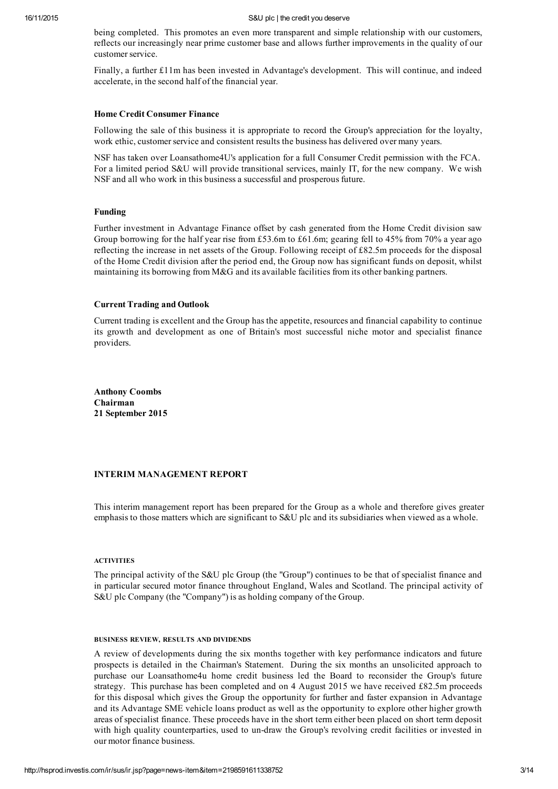being completed. This promotes an even more transparent and simple relationship with our customers, reflects our increasingly near prime customer base and allows further improvements in the quality of our customer service.

Finally, a further £11m has been invested in Advantage's development. This will continue, and indeed accelerate, in the second half of the financial year.

#### Home Credit Consumer Finance

Following the sale of this business it is appropriate to record the Group's appreciation for the loyalty, work ethic, customer service and consistent results the business has delivered over many years.

NSF has taken over Loansathome4U's application for a full Consumer Credit permission with the FCA. For a limited period S&U will provide transitional services, mainly IT, for the new company. We wish NSF and all who work in this business a successful and prosperous future.

#### Funding

Further investment in Advantage Finance offset by cash generated from the Home Credit division saw Group borrowing for the half year rise from £53.6m to £61.6m; gearing fell to 45% from 70% a year ago reflecting the increase in net assets of the Group. Following receipt of £82.5m proceeds for the disposal of the Home Credit division after the period end, the Group now has significant funds on deposit, whilst maintaining its borrowing from M&G and its available facilities from its other banking partners.

#### Current Trading and Outlook

Current trading is excellent and the Group has the appetite, resources and financial capability to continue its growth and development as one of Britain's most successful niche motor and specialist finance providers.

Anthony Coombs Chairman 21 September 2015

# INTERIM MANAGEMENT REPORT

This interim management report has been prepared for the Group as a whole and therefore gives greater emphasis to those matters which are significant to S&U plc and its subsidiaries when viewed as a whole.

#### ACTIVITIES

The principal activity of the S&U plc Group (the "Group") continues to be that of specialist finance and in particular secured motor finance throughout England, Wales and Scotland. The principal activity of S&U plc Company (the "Company") is as holding company of the Group.

#### BUSINESS REVIEW, RESULTS AND DIVIDENDS

A review of developments during the six months together with key performance indicators and future prospects is detailed in the Chairman's Statement. During the six months an unsolicited approach to purchase our Loansathome4u home credit business led the Board to reconsider the Group's future strategy. This purchase has been completed and on 4 August 2015 we have received £82.5m proceeds for this disposal which gives the Group the opportunity for further and faster expansion in Advantage and its Advantage SME vehicle loans product as well as the opportunity to explore other higher growth areas of specialist finance. These proceeds have in the short term either been placed on short term deposit with high quality counterparties, used to un-draw the Group's revolving credit facilities or invested in our motor finance business.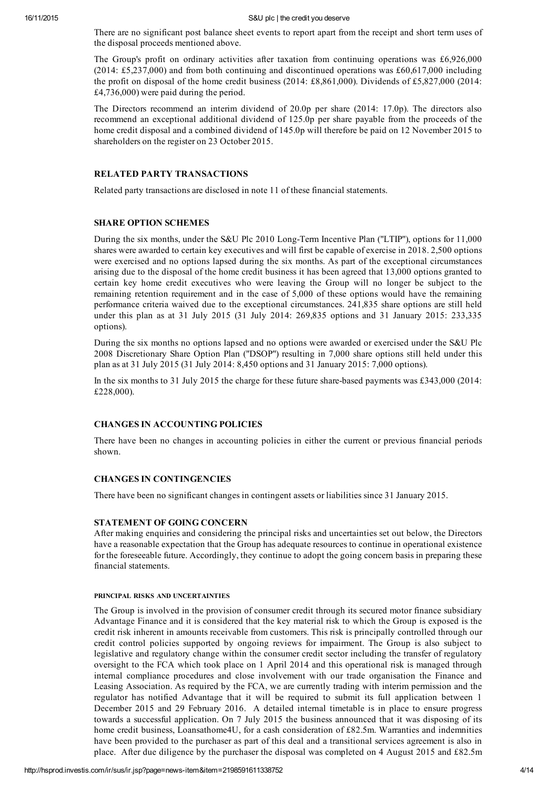There are no significant post balance sheet events to report apart from the receipt and short term uses of the disposal proceeds mentioned above.

The Group's profit on ordinary activities after taxation from continuing operations was £6,926,000 (2014: £5,237,000) and from both continuing and discontinued operations was £60,617,000 including the profit on disposal of the home credit business (2014: £8,861,000). Dividends of £5,827,000 (2014: £4,736,000) were paid during the period.

The Directors recommend an interim dividend of 20.0p per share (2014: 17.0p). The directors also recommend an exceptional additional dividend of 125.0p per share payable from the proceeds of the home credit disposal and a combined dividend of 145.0p will therefore be paid on 12 November 2015 to shareholders on the register on 23 October 2015.

#### RELATED PARTY TRANSACTIONS

Related party transactions are disclosed in note 11 of these financial statements.

### SHARE OPTION SCHEMES

During the six months, under the S&U Plc 2010 Long-Term Incentive Plan ("LTIP"), options for 11,000 shares were awarded to certain key executives and will first be capable of exercise in 2018. 2,500 options were exercised and no options lapsed during the six months. As part of the exceptional circumstances arising due to the disposal of the home credit business it has been agreed that 13,000 options granted to certain key home credit executives who were leaving the Group will no longer be subject to the remaining retention requirement and in the case of 5,000 of these options would have the remaining performance criteria waived due to the exceptional circumstances. 241,835 share options are still held under this plan as at 31 July 2015 (31 July 2014: 269,835 options and 31 January 2015: 233,335 options).

During the six months no options lapsed and no options were awarded or exercised under the S&U Plc 2008 Discretionary Share Option Plan ("DSOP") resulting in 7,000 share options still held under this plan as at 31 July 2015 (31 July 2014: 8,450 options and 31 January 2015: 7,000 options).

In the six months to 31 July 2015 the charge for these future share-based payments was  $\text{\pounds}343,000$  (2014: £228,000).

### CHANGES IN ACCOUNTING POLICIES

There have been no changes in accounting policies in either the current or previous financial periods shown.

#### CHANGES IN CONTINGENCIES

There have been no significant changes in contingent assets or liabilities since 31 January 2015.

#### STATEMENT OF GOING CONCERN

After making enquiries and considering the principal risks and uncertainties set out below, the Directors have a reasonable expectation that the Group has adequate resources to continue in operational existence for the foreseeable future. Accordingly, they continue to adopt the going concern basis in preparing these financial statements.

#### PRINCIPAL RISKS AND UNCERTAINTIES

The Group is involved in the provision of consumer credit through its secured motor finance subsidiary Advantage Finance and it is considered that the key material risk to which the Group is exposed is the credit risk inherent in amounts receivable from customers. This risk is principally controlled through our credit control policies supported by ongoing reviews for impairment. The Group is also subject to legislative and regulatory change within the consumer credit sector including the transfer of regulatory oversight to the FCA which took place on 1 April 2014 and this operational risk is managed through internal compliance procedures and close involvement with our trade organisation the Finance and Leasing Association. As required by the FCA, we are currently trading with interim permission and the regulator has notified Advantage that it will be required to submit its full application between 1 December 2015 and 29 February 2016. A detailed internal timetable is in place to ensure progress towards a successful application. On 7 July 2015 the business announced that it was disposing of its home credit business, Loansathome4U, for a cash consideration of £82.5m. Warranties and indemnities have been provided to the purchaser as part of this deal and a transitional services agreement is also in place. After due diligence by the purchaser the disposal was completed on 4 August 2015 and £82.5m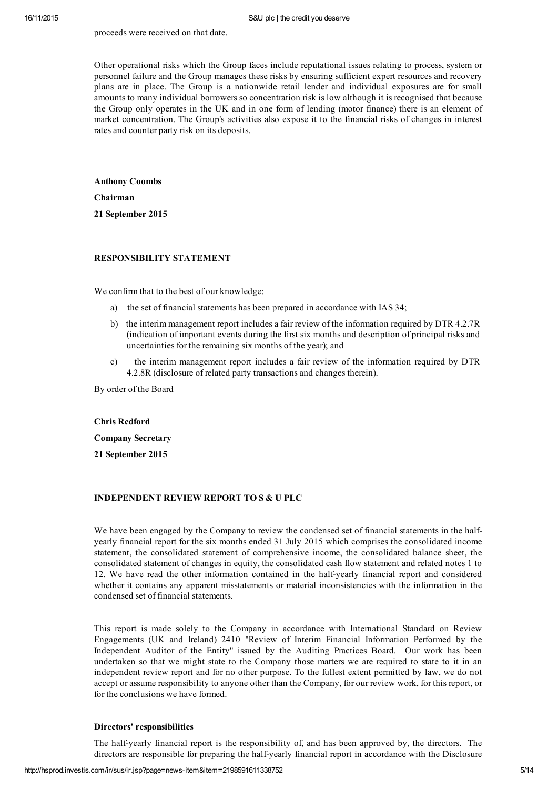#### proceeds were received on that date.

Other operational risks which the Group faces include reputational issues relating to process, system or personnel failure and the Group manages these risks by ensuring sufficient expert resources and recovery plans are in place. The Group is a nationwide retail lender and individual exposures are for small amounts to many individual borrowers so concentration risk is low although it is recognised that because the Group only operates in the UK and in one form of lending (motor finance) there is an element of market concentration. The Group's activities also expose it to the financial risks of changes in interest rates and counter party risk on its deposits.

Anthony Coombs Chairman 21 September 2015

### RESPONSIBILITY STATEMENT

We confirm that to the best of our knowledge:

- a) the set of financial statements has been prepared in accordance with IAS 34;
- b) the interim management report includes a fair review of the information required by DTR 4.2.7R (indication of important events during the first six months and description of principal risks and uncertainties for the remaining six months of the year); and
- c) the interim management report includes a fair review of the information required by DTR 4.2.8R (disclosure of related party transactions and changes therein).

By order of the Board

#### Chris Redford

Company Secretary

21 September 2015

### INDEPENDENT REVIEW REPORT TO S & U PLC

We have been engaged by the Company to review the condensed set of financial statements in the halfyearly financial report for the six months ended 31 July 2015 which comprises the consolidated income statement, the consolidated statement of comprehensive income, the consolidated balance sheet, the consolidated statement of changes in equity, the consolidated cash flow statement and related notes 1 to 12. We have read the other information contained in the half-yearly financial report and considered whether it contains any apparent misstatements or material inconsistencies with the information in the condensed set of financial statements.

This report is made solely to the Company in accordance with International Standard on Review Engagements (UK and Ireland) 2410 "Review of Interim Financial Information Performed by the Independent Auditor of the Entity" issued by the Auditing Practices Board. Our work has been undertaken so that we might state to the Company those matters we are required to state to it in an independent review report and for no other purpose. To the fullest extent permitted by law, we do not accept or assume responsibility to anyone other than the Company, for our review work, for this report, or for the conclusions we have formed.

#### Directors' responsibilities

The half-yearly financial report is the responsibility of, and has been approved by, the directors. The directors are responsible for preparing the half-yearly financial report in accordance with the Disclosure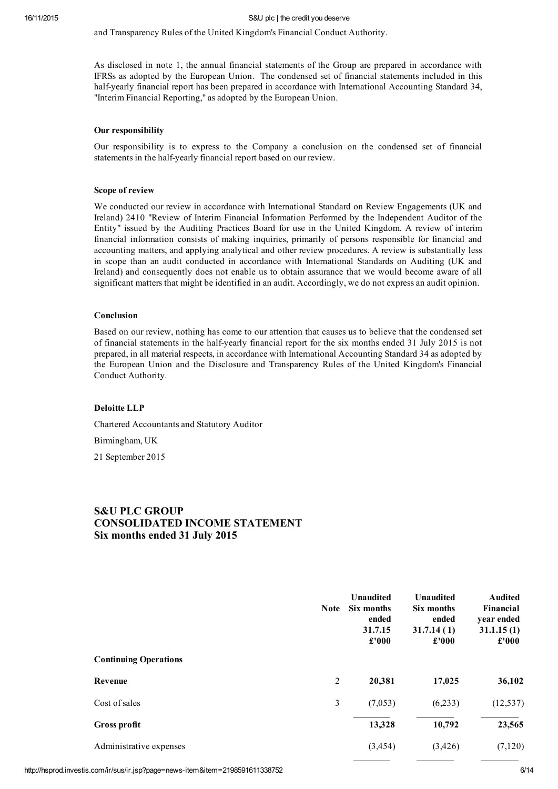and Transparency Rules of the United Kingdom's Financial Conduct Authority.

As disclosed in note 1, the annual financial statements of the Group are prepared in accordance with IFRSs as adopted by the European Union. The condensed set of financial statements included in this half-yearly financial report has been prepared in accordance with International Accounting Standard 34, "Interim Financial Reporting," as adopted by the European Union.

### Our responsibility

Our responsibility is to express to the Company a conclusion on the condensed set of financial statements in the half-yearly financial report based on our review.

#### Scope of review

We conducted our review in accordance with International Standard on Review Engagements (UK and Ireland) 2410 "Review of Interim Financial Information Performed by the Independent Auditor of the Entity" issued by the Auditing Practices Board for use in the United Kingdom. A review of interim financial information consists of making inquiries, primarily of persons responsible for financial and accounting matters, and applying analytical and other review procedures. A review is substantially less in scope than an audit conducted in accordance with International Standards on Auditing (UK and Ireland) and consequently does not enable us to obtain assurance that we would become aware of all significant matters that might be identified in an audit. Accordingly, we do not express an audit opinion.

#### Conclusion

Based on our review, nothing has come to our attention that causes us to believe that the condensed set of financial statements in the halfyearly financial report for the six months ended 31 July 2015 is not prepared, in all material respects, in accordance with International Accounting Standard 34 as adopted by the European Union and the Disclosure and Transparency Rules of the United Kingdom's Financial Conduct Authority.

#### Deloitte LLP

Chartered Accountants and Statutory Auditor

Birmingham, UK

21 September 2015

# S&U PLC GROUP CONSOLIDATED INCOME STATEMENT Six months ended 31 July 2015

|                              | <b>Note</b> | Unaudited<br>Six months<br>ended<br>31.7.15<br>£'000 | <b>Unaudited</b><br>Six months<br>ended<br>31.7.14(1)<br>£'000 | <b>Audited</b><br>Financial<br>year ended<br>31.1.15(1)<br>£'000 |
|------------------------------|-------------|------------------------------------------------------|----------------------------------------------------------------|------------------------------------------------------------------|
| <b>Continuing Operations</b> |             |                                                      |                                                                |                                                                  |
| Revenue                      | 2           | 20,381                                               | 17,025                                                         | 36,102                                                           |
| Cost of sales                | 3           | (7,053)                                              | (6,233)                                                        | (12, 537)                                                        |
| Gross profit                 |             | 13,328                                               | 10,792                                                         | 23,565                                                           |
| Administrative expenses      |             | (3, 454)                                             | (3, 426)                                                       | (7, 120)                                                         |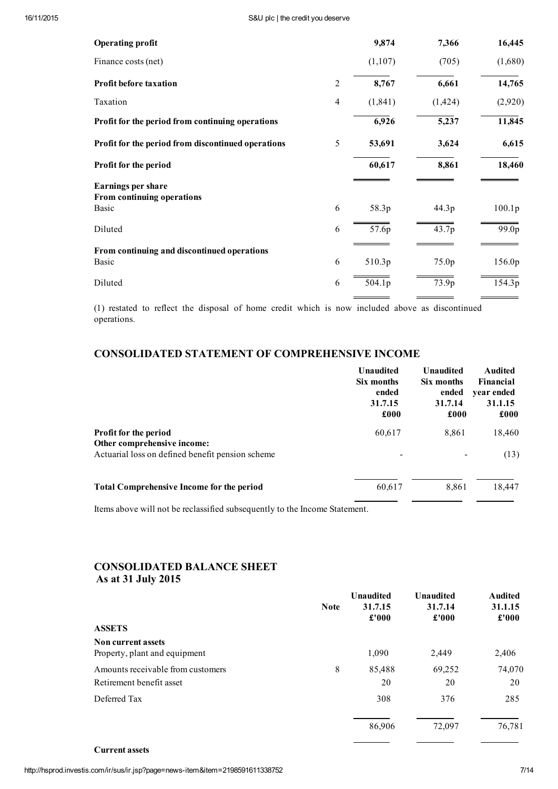| <b>Operating profit</b>                              |                | 9,874    | 7,366    | 16,445  |
|------------------------------------------------------|----------------|----------|----------|---------|
| Finance costs (net)                                  |                | (1,107)  | (705)    | (1,680) |
| <b>Profit before taxation</b>                        | $\overline{2}$ | 8,767    | 6,661    | 14,765  |
| Taxation                                             | 4              | (1, 841) | (1, 424) | (2,920) |
| Profit for the period from continuing operations     |                | 6,926    | 5,237    | 11,845  |
| Profit for the period from discontinued operations   | 5              | 53,691   | 3,624    | 6,615   |
| Profit for the period                                |                | 60,617   | 8,861    | 18,460  |
| <b>Earnings per share</b>                            |                |          |          |         |
| From continuing operations<br><b>Basic</b>           | 6              | 58.3p    | 44.3p    | 100.1p  |
| Diluted                                              | 6              | 57.6p    | 43.7p    | 99.0p   |
| From continuing and discontinued operations<br>Basic | 6              | 510.3p   | 75.0p    | 156.0p  |
| Diluted                                              | 6              | 504.1p   | 73.9p    | 154.3p  |

(1) restated to reflect the disposal of home credit which is now included above as discontinued operations.

# CONSOLIDATED STATEMENT OF COMPREHENSIVE INCOME

|                                                             | <b>Unaudited</b><br>Six months<br>ended<br>31.7.15<br>£000 | <b>Unaudited</b><br>Six months<br>ended<br>31.7.14<br>£000 | <b>Audited</b><br>Financial<br>year ended<br>31.1.15<br>£000 |
|-------------------------------------------------------------|------------------------------------------------------------|------------------------------------------------------------|--------------------------------------------------------------|
| <b>Profit for the period</b><br>Other comprehensive income: | 60,617                                                     | 8,861                                                      | 18,460                                                       |
| Actuarial loss on defined benefit pension scheme            |                                                            |                                                            | (13)                                                         |
| <b>Total Comprehensive Income for the period</b>            | 60,617                                                     | 8,861                                                      | 18,447                                                       |

Items above will not be reclassified subsequently to the Income Statement.

# CONSOLIDATED BALANCE SHEET As at 31 July 2015

|                                                            | <b>Note</b> | <b>Unaudited</b><br>31.7.15<br>£'000 | <b>Unaudited</b><br>31.7.14<br>£'000 | <b>Audited</b><br>31.1.15<br>£'000 |
|------------------------------------------------------------|-------------|--------------------------------------|--------------------------------------|------------------------------------|
| <b>ASSETS</b>                                              |             |                                      |                                      |                                    |
| <b>Non current assets</b><br>Property, plant and equipment |             | 1,090                                | 2,449                                | 2,406                              |
| Amounts receivable from customers                          | 8           | 85,488                               | 69,252                               | 74,070                             |
| Retirement benefit asset                                   |             | 20                                   | 20                                   | 20                                 |
| Deferred Tax                                               |             | 308                                  | 376                                  | 285                                |
|                                                            |             | 86,906                               | 72,097                               | 76,781                             |

Current assets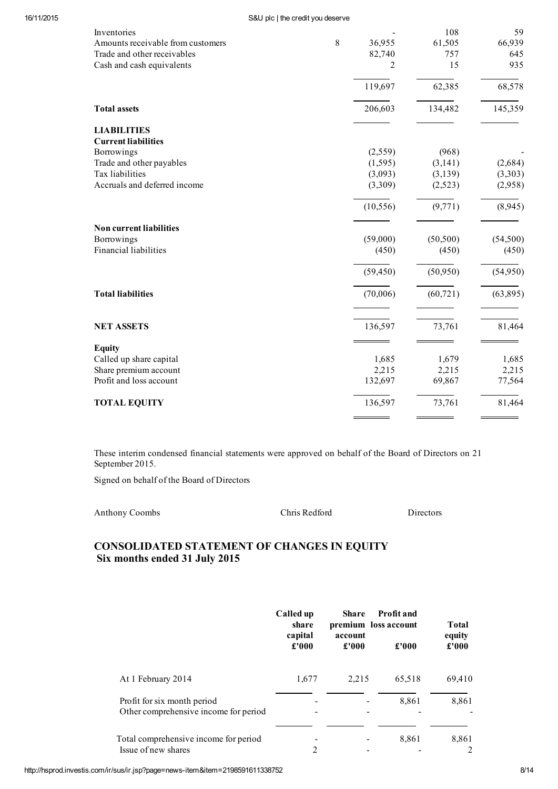### 16/11/2015 S&U plc | the credit you deserve

| Inventories<br>Amounts receivable from customers | 8 | 36,955    | 108<br>61,505 | 59<br>66,939 |
|--------------------------------------------------|---|-----------|---------------|--------------|
| Trade and other receivables                      |   | 82,740    | 757           | 645          |
| Cash and cash equivalents                        |   | 2         | 15            | 935          |
|                                                  |   | 119,697   | 62,385        | 68,578       |
| <b>Total assets</b>                              |   | 206,603   | 134,482       | 145,359      |
| <b>LIABILITIES</b>                               |   |           |               |              |
| <b>Current liabilities</b>                       |   |           |               |              |
| Borrowings                                       |   | (2,559)   | (968)         |              |
| Trade and other payables                         |   | (1, 595)  | (3, 141)      | (2,684)      |
| Tax liabilities                                  |   | (3,093)   | (3,139)       | (3,303)      |
| Accruals and deferred income                     |   | (3,309)   | (2,523)       | (2,958)      |
|                                                  |   | (10, 556) | (9,771)       | (8,945)      |
| <b>Non current liabilities</b>                   |   |           |               |              |
| Borrowings                                       |   | (59,000)  | (50, 500)     | (54,500)     |
| Financial liabilities                            |   | (450)     | (450)         | (450)        |
|                                                  |   | (59, 450) | (50, 950)     | (54,950)     |
| <b>Total liabilities</b>                         |   | (70,006)  | (60, 721)     | (63,895)     |
| <b>NET ASSETS</b>                                |   | 136,597   | 73,761        | 81,464       |
| <b>Equity</b>                                    |   |           |               |              |
| Called up share capital                          |   | 1,685     | 1,679         | 1,685        |
| Share premium account                            |   | 2,215     | 2,215         | 2,215        |
| Profit and loss account                          |   | 132,697   | 69,867        | 77,564       |
| <b>TOTAL EQUITY</b>                              |   | 136,597   | 73,761        | 81,464       |

These interim condensed financial statements were approved on behalf of the Board of Directors on 21 September 2015.

Signed on behalf of the Board of Directors

| <b>Anthony Coombs</b> |  |
|-----------------------|--|
|-----------------------|--|

Anthony Coombs Chris Redford Directors

# CONSOLIDATED STATEMENT OF CHANGES IN EQUITY Six months ended 31 July 2015

|                                                                      | Called up<br><b>Share</b><br>share<br>account |       | <b>Profit and</b><br>premium loss account<br>capital |                 |
|----------------------------------------------------------------------|-----------------------------------------------|-------|------------------------------------------------------|-----------------|
|                                                                      | £'000                                         | £'000 | £'000                                                | equity<br>£'000 |
| At 1 February 2014                                                   | 1,677                                         | 2,215 | 65,518                                               | 69,410          |
| Profit for six month period<br>Other comprehensive income for period |                                               |       | 8,861                                                | 8,861           |
| Total comprehensive income for period<br>Issue of new shares         | 2                                             |       | 8,861                                                | 8,861<br>2      |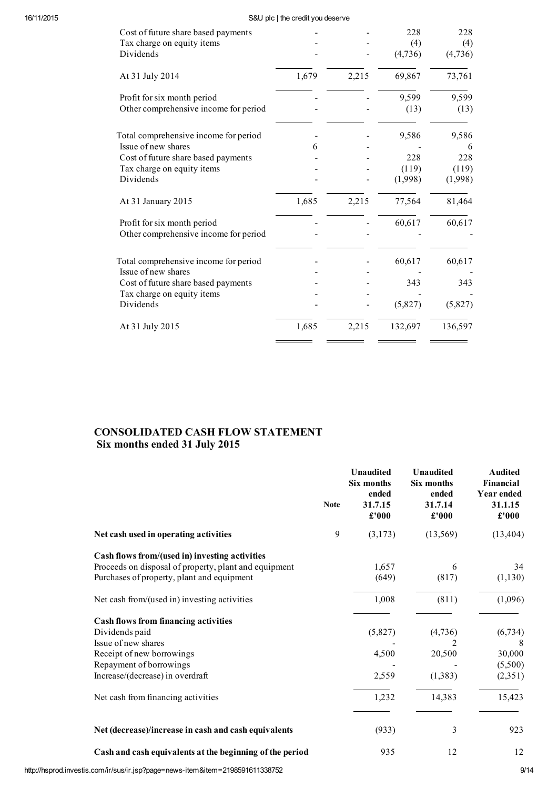# 16/11/2015 S&U plc | the credit you deserve

| Cost of future share based payments     |       |       | 228     | 228     |
|-----------------------------------------|-------|-------|---------|---------|
| Tax charge on equity items              |       |       | (4)     | (4)     |
| Dividends                               |       |       | (4,736) | (4,736) |
| At 31 July 2014                         | 1,679 | 2,215 | 69,867  | 73,761  |
| Profit for six month period             |       |       | 9,599   | 9,599   |
| Other comprehensive income for period   |       |       | (13)    | (13)    |
| Total comprehensive income for period   |       |       | 9,586   | 9,586   |
| Issue of new shares                     | 6     |       |         | 6       |
| Cost of future share based payments     |       |       | 228     | 228     |
| Tax charge on equity items              |       |       | (119)   | (119)   |
| Dividends                               |       |       | (1,998) | (1,998) |
| At 31 January 2015                      | 1,685 | 2,215 | 77,564  | 81,464  |
| Profit for six month period             |       |       | 60,617  | 60,617  |
| Other comprehensive income for period   |       |       |         |         |
| Total comprehensive income for period   |       |       | 60,617  | 60,617  |
| Issue of new shares                     |       |       |         |         |
| Cost of future share based payments     |       |       | 343     | 343     |
| Tax charge on equity items<br>Dividends |       |       | (5,827) | (5,827) |
|                                         |       |       |         |         |
| At 31 July 2015                         | 1,685 | 2,215 | 132,697 | 136,597 |
|                                         |       |       |         |         |

# CONSOLIDATED CASH FLOW STATEMENT Six months ended 31 July 2015

|                                                                                                                                                                                                                        | <b>Note</b> | <b>Unaudited</b><br>Six months<br>ended<br>31.7.15<br>£'000 | <b>Unaudited</b><br>Six months<br>ended<br>31.7.14<br>£'000 | <b>Audited</b><br>Financial<br>Year ended<br>31.1.15<br>£'000 |
|------------------------------------------------------------------------------------------------------------------------------------------------------------------------------------------------------------------------|-------------|-------------------------------------------------------------|-------------------------------------------------------------|---------------------------------------------------------------|
| Net cash used in operating activities                                                                                                                                                                                  | 9           | (3,173)                                                     | (13,569)                                                    | (13, 404)                                                     |
| Cash flows from/(used in) investing activities<br>Proceeds on disposal of property, plant and equipment<br>Purchases of property, plant and equipment                                                                  |             | 1,657<br>(649)                                              | 6<br>(817)                                                  | 34<br>(1, 130)                                                |
| Net cash from/(used in) investing activities                                                                                                                                                                           |             | 1,008                                                       | (811)                                                       | (1,096)                                                       |
| <b>Cash flows from financing activities</b><br>Dividends paid<br>Issue of new shares<br>Receipt of new borrowings<br>Repayment of borrowings<br>Increase/(decrease) in overdraft<br>Net cash from financing activities |             | (5,827)<br>4,500<br>2,559<br>1,232                          | (4,736)<br>20,500<br>(1,383)<br>14,383                      | (6, 734)<br>30,000<br>(5,500)<br>(2,351)<br>15,423            |
| Net (decrease)/increase in cash and cash equivalents                                                                                                                                                                   |             | (933)                                                       | 3                                                           | 923                                                           |
| Cash and cash equivalents at the beginning of the period                                                                                                                                                               |             | 935                                                         | 12                                                          | 12                                                            |

http://hsprod.investis.com/ir/sus/ir.jsp?page=news-item&item=2198591611338752 9/14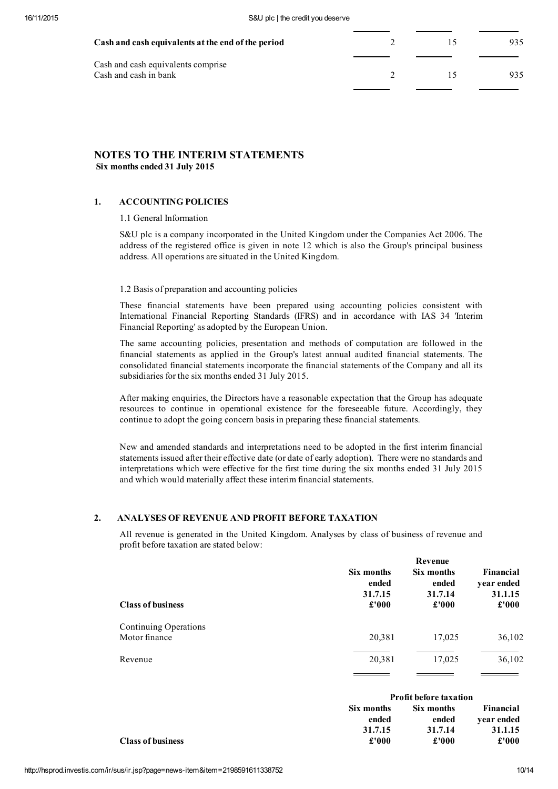| Cash and cash equivalents at the end of the period | ר ו                      |     |
|----------------------------------------------------|--------------------------|-----|
| Cash and cash equivalents comprise                 |                          |     |
| Cash and cash in bank                              | $\overline{\phantom{a}}$ | 935 |
|                                                    |                          |     |

# NOTES TO THE INTERIM STATEMENTS Six months ended 31 July 2015

# 1. ACCOUNTING POLICIES

1.1 General Information

S&U plc is a company incorporated in the United Kingdom under the Companies Act 2006. The address of the registered office is given in note 12 which is also the Group's principal business address. All operations are situated in the United Kingdom.

1.2 Basis of preparation and accounting policies

These financial statements have been prepared using accounting policies consistent with International Financial Reporting Standards (IFRS) and in accordance with IAS 34 'Interim Financial Reporting' as adopted by the European Union.

The same accounting policies, presentation and methods of computation are followed in the financial statements as applied in the Group's latest annual audited financial statements. The consolidated financial statements incorporate the financial statements of the Company and all its subsidiaries for the six months ended 31 July 2015.

After making enquiries, the Directors have a reasonable expectation that the Group has adequate resources to continue in operational existence for the foreseeable future. Accordingly, they continue to adopt the going concern basis in preparing these financial statements.

New and amended standards and interpretations need to be adopted in the first interim financial statements issued after their effective date (or date of early adoption). There were no standards and interpretations which were effective for the first time during the six months ended 31 July 2015 and which would materially affect these interim financial statements.

# 2. ANALYSES OF REVENUE AND PROFIT BEFORE TAXATION

All revenue is generated in the United Kingdom. Analyses by class of business of revenue and profit before taxation are stated below:

| <b>Class of business</b>               | Six months<br>ended<br>31.7.15<br>£'000 | Revenue<br>Six months<br>ended<br>31.7.14<br>£'000 | Financial<br>year ended<br>31.1.15<br>$\pounds 000$ |
|----------------------------------------|-----------------------------------------|----------------------------------------------------|-----------------------------------------------------|
| Continuing Operations<br>Motor finance | 20,381                                  | 17,025                                             | 36,102                                              |
| Revenue                                | 20,381                                  | 17,025                                             | 36,102                                              |

|                          | <b>Profit before taxation</b> |            |            |
|--------------------------|-------------------------------|------------|------------|
|                          | Six months                    | Six months | Financial  |
|                          | ended                         | ended      | year ended |
|                          | 31.7.15                       | 31.7.14    | 31.1.15    |
| <b>Class of business</b> | £'000                         | £'000      | £'000      |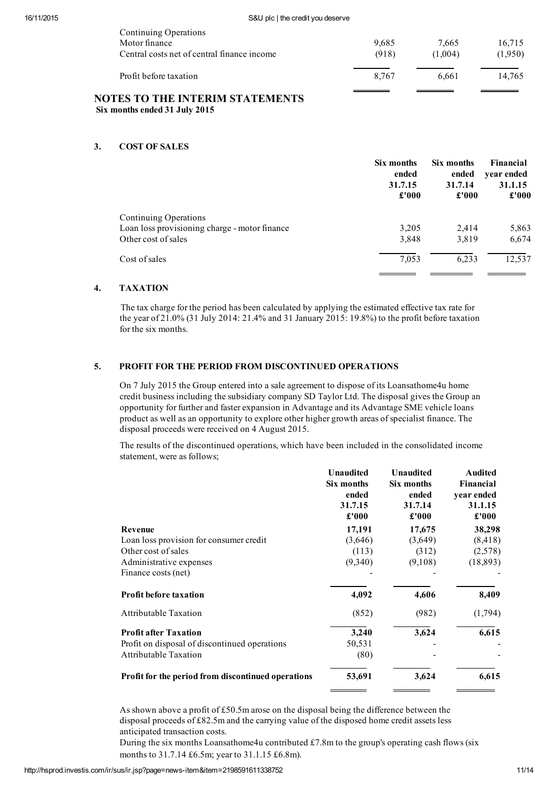| Continuing Operations                       |       |         |         |
|---------------------------------------------|-------|---------|---------|
| Motor finance                               | 9,685 | 7.665   | 16,715  |
| Central costs net of central finance income | (918) | (1,004) | (1,950) |
| Profit before taxation                      | 8,767 | 6.661   | 14,765  |
| <b>NOTES TO THE INTERIM STATEMENTS</b>      |       |         |         |

# Six months ended 31 July 2015

# 3. COST OF SALES

|                                               | Six months<br>ended<br>31.7.15<br>£'000 | Six months<br>ended<br>31.7.14<br>£'000 | Financial<br>year ended<br>31.1.15<br>£'000 |
|-----------------------------------------------|-----------------------------------------|-----------------------------------------|---------------------------------------------|
| Continuing Operations                         |                                         |                                         |                                             |
| Loan loss provisioning charge - motor finance | 3.205                                   | 2,414                                   | 5,863                                       |
| Other cost of sales                           | 3,848                                   | 3,819                                   | 6,674                                       |
| Cost of sales                                 | 7,053                                   | 6.233                                   | 12,537                                      |

# 4. TAXATION

The tax charge for the period has been calculated by applying the estimated effective tax rate for the year of 21.0% (31 July 2014: 21.4% and 31 January 2015: 19.8%) to the profit before taxation for the six months.

# 5. PROFIT FOR THE PERIOD FROM DISCONTINUED OPERATIONS

On 7 July 2015 the Group entered into a sale agreement to dispose of its Loansathome4u home credit business including the subsidiary company SD Taylor Ltd. The disposal gives the Group an opportunity for further and faster expansion in Advantage and its Advantage SME vehicle loans product as well as an opportunity to explore other higher growth areas ofspecialist finance. The disposal proceeds were received on 4 August 2015.

The results of the discontinued operations, which have been included in the consolidated income statement, were as follows;

|                                                    | <b>Unaudited</b><br>Six months<br>ended<br>31.7.15<br>£'000 | Unaudited<br>Six months<br>ended<br>31.7.14<br>£'000 | <b>Audited</b><br>Financial<br>year ended<br>31.1.15<br>$\pmb{\pounds}$ '000 |
|----------------------------------------------------|-------------------------------------------------------------|------------------------------------------------------|------------------------------------------------------------------------------|
| Revenue                                            | 17,191                                                      | 17,675                                               | 38,298                                                                       |
| Loan loss provision for consumer credit            | (3,646)                                                     | (3,649)                                              | (8, 418)                                                                     |
| Other cost of sales                                | (113)                                                       | (312)                                                | (2,578)                                                                      |
| Administrative expenses                            | (9,340)                                                     | (9,108)                                              | (18, 893)                                                                    |
| Finance costs (net)                                |                                                             |                                                      |                                                                              |
| <b>Profit before taxation</b>                      | 4,092                                                       | 4,606                                                | 8,409                                                                        |
| <b>Attributable Taxation</b>                       | (852)                                                       | (982)                                                | (1,794)                                                                      |
| <b>Profit after Taxation</b>                       | 3,240                                                       | 3,624                                                | 6,615                                                                        |
| Profit on disposal of discontinued operations      | 50,531                                                      |                                                      |                                                                              |
| <b>Attributable Taxation</b>                       | (80)                                                        |                                                      |                                                                              |
| Profit for the period from discontinued operations | 53,691                                                      | 3,624                                                | 6,615                                                                        |

As shown above a profit of £50.5m arose on the disposal being the difference between the disposal proceeds of £82.5m and the carrying value of the disposed home credit assets less anticipated transaction costs.

During the six months Loansathome4u contributed £7.8m to the group's operating cash flows (six months to 31.7.14 £6.5m; year to 31.1.15 £6.8m).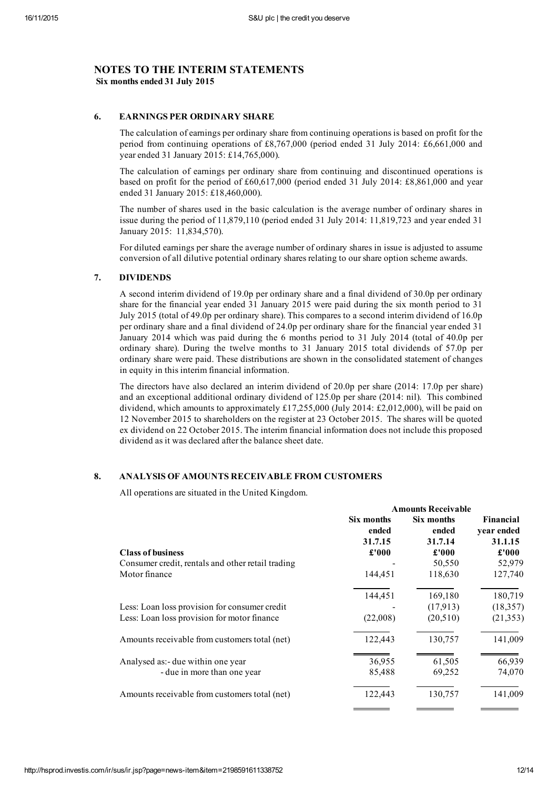# NOTES TO THE INTERIM STATEMENTS Six months ended 31 July 2015

# 6. EARNINGS PER ORDINARY SHARE

The calculation of earnings per ordinary share from continuing operations is based on profit for the period from continuing operations of £8,767,000 (period ended 31 July 2014: £6,661,000 and year ended 31 January 2015: £14,765,000).

The calculation of earnings per ordinary share from continuing and discontinued operations is based on profit for the period of £60,617,000 (period ended 31 July 2014: £8,861,000 and year ended 31 January 2015: £18,460,000).

The number of shares used in the basic calculation is the average number of ordinary shares in issue during the period of 11,879,110 (period ended 31 July 2014: 11,819,723 and year ended 31 January 2015: 11,834,570).

For diluted earnings per share the average number of ordinary shares in issue is adjusted to assume conversion of all dilutive potential ordinary shares relating to ourshare option scheme awards.

# 7. DIVIDENDS

A second interim dividend of 19.0p per ordinary share and a final dividend of 30.0p per ordinary share for the financial year ended 31 January 2015 were paid during the six month period to 31 July 2015 (total of 49.0p per ordinary share). This compares to a second interim dividend of 16.0p per ordinary share and a final dividend of 24.0p per ordinary share for the financial year ended 31 January 2014 which was paid during the 6 months period to 31 July 2014 (total of 40.0p per ordinary share). During the twelve months to 31 January 2015 total dividends of 57.0p per ordinary share were paid. These distributions are shown in the consolidated statement of changes in equity in this interim financial information.

The directors have also declared an interim dividend of 20.0p per share (2014: 17.0p per share) and an exceptional additional ordinary dividend of 125.0p per share (2014: nil). This combined dividend, which amounts to approximately £17,255,000 (July 2014: £2,012,000), will be paid on 12 November 2015 to shareholders on the register at 23 October 2015. The shares will be quoted ex dividend on 22 October 2015. The interim financial information does not include this proposed dividend as it was declared after the balance sheet date.

# 8. ANALYSIS OF AMOUNTS RECEIVABLE FROM CUSTOMERS

All operations are situated in the United Kingdom.

|                                                   | <b>Amounts Receivable</b> |                     |                         |
|---------------------------------------------------|---------------------------|---------------------|-------------------------|
|                                                   | Six months<br>ended       | Six months<br>ended | Financial<br>year ended |
|                                                   | 31.7.15                   | 31.7.14             | 31.1.15                 |
| <b>Class of business</b>                          | £'000                     | £'000               | £'000                   |
| Consumer credit, rentals and other retail trading |                           | 50,550              | 52,979                  |
| Motor finance                                     | 144,451                   | 118,630             | 127,740                 |
|                                                   | 144,451                   | 169,180             | 180,719                 |
| Less: Loan loss provision for consumer credit     |                           | (17,913)            | (18, 357)               |
| Less: Loan loss provision for motor finance       | (22,008)                  | (20,510)            | (21, 353)               |
| Amounts receivable from customers total (net)     | 122,443                   | 130,757             | 141,009                 |
| Analysed as:- due within one year                 | 36,955                    | 61,505              | 66,939                  |
| - due in more than one year                       | 85,488                    | 69,252              | 74,070                  |
| Amounts receivable from customers total (net)     | 122,443                   | 130,757             | 141,009                 |
|                                                   |                           |                     |                         |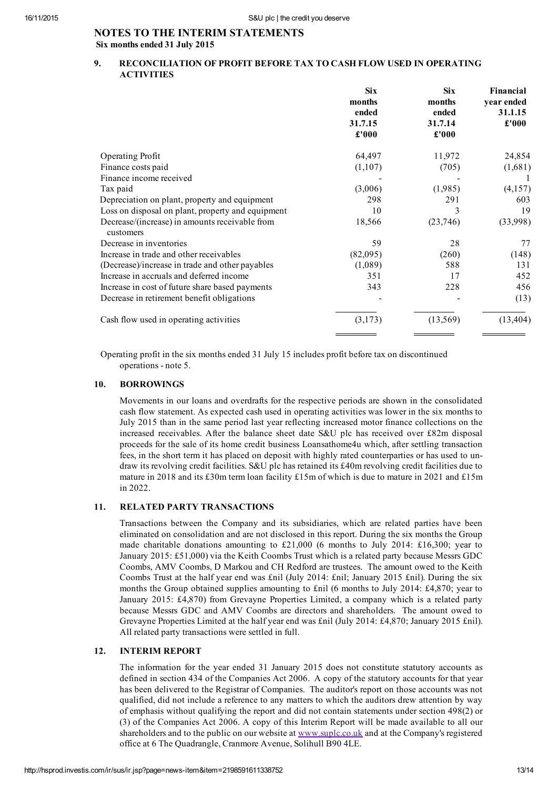# NOTES TO THE INTERIM STATEMENTS Six months ended 31 July 2015

# 9. RECONCILIATION OF PROFIT BEFORE TAX TO CASH FLOW USED IN OPERATING ACTIVITIES

|                                                   | <b>Six</b><br>months<br>ended<br>31.7.15<br>£'000 | <b>Six</b><br>months<br>ended<br>31.7.14<br>£'000 | Financial<br>year ended<br>31.1.15<br>£'000 |
|---------------------------------------------------|---------------------------------------------------|---------------------------------------------------|---------------------------------------------|
|                                                   |                                                   |                                                   |                                             |
|                                                   |                                                   |                                                   |                                             |
|                                                   |                                                   |                                                   |                                             |
| Operating Profit                                  | 64,497                                            | 11,972                                            | 24,854                                      |
| Finance costs paid                                | (1,107)                                           | (705)                                             | (1,681)                                     |
| Finance income received                           |                                                   |                                                   |                                             |
| Tax paid                                          | (3,006)                                           | (1,985)                                           | (4,157)                                     |
| Depreciation on plant, property and equipment     | 298                                               | 291                                               | 603                                         |
| Loss on disposal on plant, property and equipment | 10                                                | 3                                                 | 19                                          |
| Decrease/(increase) in amounts receivable from    | 18,566                                            | (23,746)                                          | (33,998)                                    |
| customers                                         |                                                   |                                                   |                                             |
| Decrease in inventories                           | 59                                                | 28                                                | 77                                          |
| Increase in trade and other receivables           | (82,095)                                          | (260)                                             | (148)                                       |
| (Decrease)/increase in trade and other payables   | (1,089)                                           | 588                                               | 131                                         |
| Increase in accruals and deferred income          | 351                                               | 17                                                | 452                                         |
| Increase in cost of future share based payments   | 343                                               | 228                                               | 456                                         |
| Decrease in retirement benefit obligations        |                                                   |                                                   | (13)                                        |
| Cash flow used in operating activities            | (3,173)                                           | (13, 569)                                         | (13, 404)                                   |
|                                                   |                                                   |                                                   |                                             |

Operating profit in the six months ended 31 July 15 includes profit before tax on discontinued operations - note 5.

### 10. BORROWINGS

Movements in our loans and overdrafts for the respective periods are shown in the consolidated cash flow statement. As expected cash used in operating activities was lower in the six months to July 2015 than in the same period last year reflecting increased motor finance collections on the increased receivables. After the balance sheet date S&U plc has received over £82m disposal proceeds for the sale of its home credit business Loansathome4u which, after settling transaction fees, in the short term it has placed on deposit with highly rated counterparties or has used to undraw its revolving credit facilities. S&U plc has retained its £40m revolving credit facilities due to mature in 2018 and its £30m term loan facility £15m of which is due to mature in 2021 and £15m in 2022.

# 11. RELATED PARTY TRANSACTIONS

Transactions between the Company and its subsidiaries, which are related parties have been eliminated on consolidation and are not disclosed in this report. During the six months the Group made charitable donations amounting to £21,000 (6 months to July 2014: £16,300; year to January 2015: £51,000) via the Keith Coombs Trust which is a related party because Messrs GDC Coombs, AMV Coombs, D Markou and CH Redford are trustees. The amount owed to the Keith Coombs Trust at the half year end was £nil (July 2014: £nil; January 2015 £nil). During the six months the Group obtained supplies amounting to £nil (6 months to July 2014: £4,870; year to January 2015: £4,870) from Grevayne Properties Limited, a company which is a related party because Messrs GDC and AMV Coombs are directors and shareholders. The amount owed to Grevayne Properties Limited at the half year end was £nil (July 2014: £4,870; January 2015 £nil). All related party transactions were settled in full.

## 12. INTERIM REPORT

The information for the year ended 31 January 2015 does not constitute statutory accounts as defined in section 434 of the Companies Act 2006. A copy of the statutory accounts for that year has been delivered to the Registrar of Companies. The auditor's report on those accounts was not qualified, did not include a reference to any matters to which the auditors drew attention by way of emphasis without qualifying the report and did not contain statements under section 498(2) or (3) of the Companies Act 2006. A copy of this Interim Report will be made available to all our shareholders and to the public on our website at [www.suplc.co.uk](http://www.suplc.co.uk/) and at the Company's registered office at 6 The Quadrangle, Cranmore Avenue, Solihull B90 4LE.